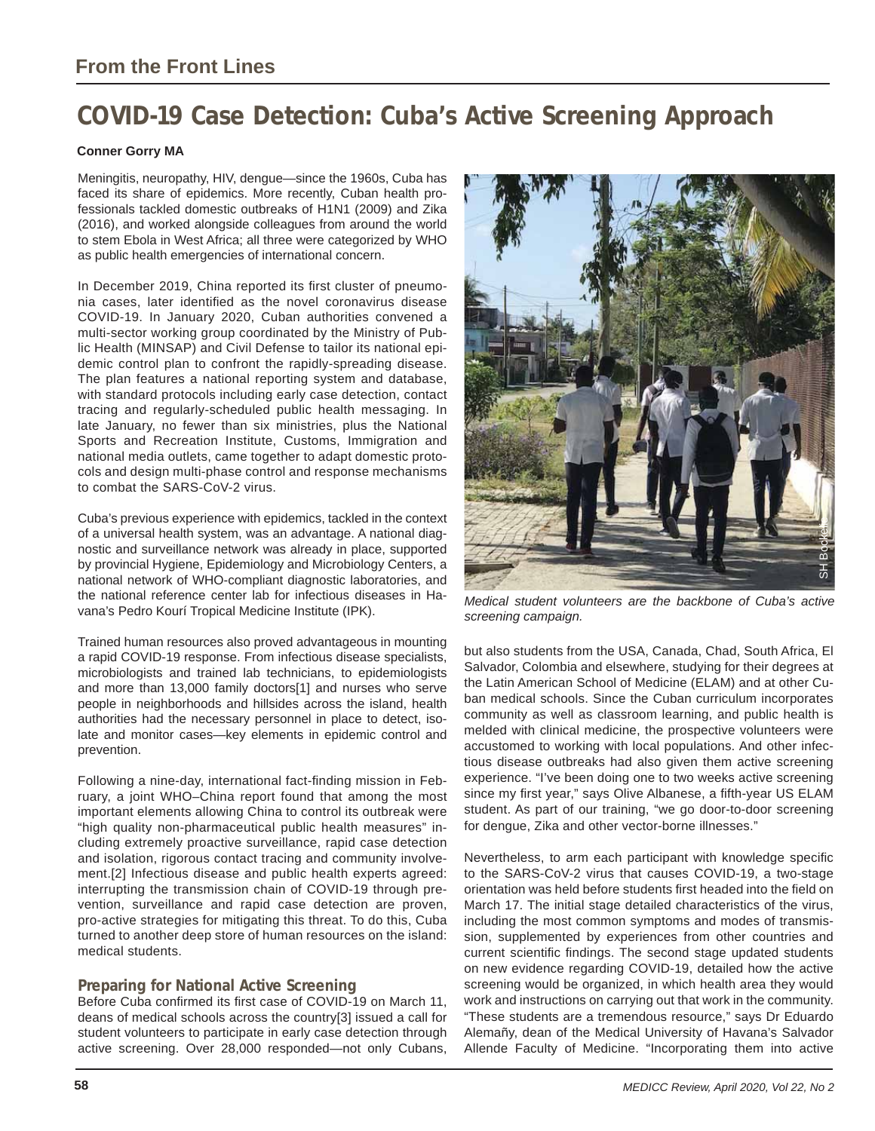# **COVID-19 Case Detection: Cuba's Active Screening Approach**

### **Conner Gorry MA**

Meningitis, neuropathy, HIV, dengue—since the 1960s, Cuba has faced its share of epidemics. More recently, Cuban health professionals tackled domestic outbreaks of H1N1 (2009) and Zika (2016), and worked alongside colleagues from around the world to stem Ebola in West Africa; all three were categorized by WHO as public health emergencies of international concern.

In December 2019, China reported its first cluster of pneumonia cases, later identified as the novel coronavirus disease COVID-19. In January 2020, Cuban authorities convened a multi-sector working group coordinated by the Ministry of Public Health (MINSAP) and Civil Defense to tailor its national epidemic control plan to confront the rapidly-spreading disease. The plan features a national reporting system and database, with standard protocols including early case detection, contact tracing and regularly-scheduled public health messaging. In late January, no fewer than six ministries, plus the National Sports and Recreation Institute, Customs, Immigration and national media outlets, came together to adapt domestic protocols and design multi-phase control and response mechanisms to combat the SARS-CoV-2 virus.

Cuba's previous experience with epidemics, tackled in the context of a universal health system, was an advantage. A national diagnostic and surveillance network was already in place, supported by provincial Hygiene, Epidemiology and Microbiology Centers, a national network of WHO-compliant diagnostic laboratories, and the national reference center lab for infectious diseases in Havana's Pedro Kourí Tropical Medicine Institute (IPK).

Trained human resources also proved advantageous in mounting a rapid COVID-19 response. From infectious disease specialists, microbiologists and trained lab technicians, to epidemiologists and more than 13,000 family doctors[1] and nurses who serve people in neighborhoods and hillsides across the island, health authorities had the necessary personnel in place to detect, isolate and monitor cases—key elements in epidemic control and prevention.

Following a nine-day, international fact-finding mission in February, a joint WHO–China report found that among the most important elements allowing China to control its outbreak were "high quality non-pharmaceutical public health measures" including extremely proactive surveillance, rapid case detection and isolation, rigorous contact tracing and community involvement.[2] Infectious disease and public health experts agreed: interrupting the transmission chain of COVID-19 through prevention, surveillance and rapid case detection are proven, pro-active strategies for mitigating this threat. To do this, Cuba turned to another deep store of human resources on the island: medical students.

### **Preparing for National Active Screening**

Before Cuba confirmed its first case of COVID-19 on March 11, deans of medical schools across the country[3] issued a call for student volunteers to participate in early case detection through active screening. Over 28,000 responded—not only Cubans,



*Medical student volunteers are the backbone of Cuba's active screening campaign.* 

but also students from the USA, Canada, Chad, South Africa, El Salvador, Colombia and elsewhere, studying for their degrees at the Latin American School of Medicine (ELAM) and at other Cuban medical schools. Since the Cuban curriculum incorporates community as well as classroom learning, and public health is melded with clinical medicine, the prospective volunteers were accustomed to working with local populations. And other infectious disease outbreaks had also given them active screening experience. "I've been doing one to two weeks active screening since my first year," says Olive Albanese, a fifth-year US ELAM student. As part of our training, "we go door-to-door screening for dengue, Zika and other vector-borne illnesses."

Nevertheless, to arm each participant with knowledge specific to the SARS-CoV-2 virus that causes COVID-19, a two-stage orientation was held before students first headed into the field on March 17. The initial stage detailed characteristics of the virus, including the most common symptoms and modes of transmission, supplemented by experiences from other countries and current scientific findings. The second stage updated students on new evidence regarding COVID-19, detailed how the active screening would be organized, in which health area they would work and instructions on carrying out that work in the community. "These students are a tremendous resource," says Dr Eduardo Alemañy, dean of the Medical University of Havana's Salvador Allende Faculty of Medicine. "Incorporating them into active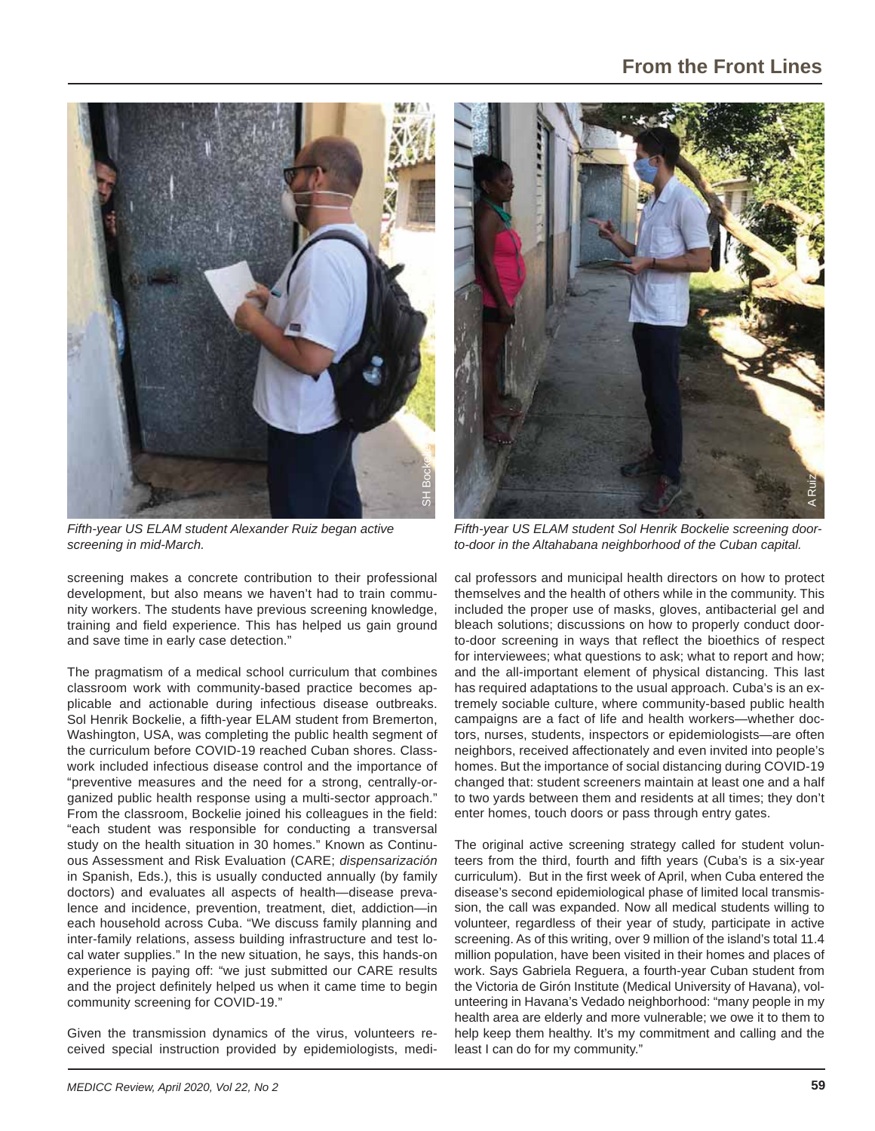

*Fifth-year US ELAM student Alexander Ruiz began active screening in mid-March.*

screening makes a concrete contribution to their professional development, but also means we haven't had to train community workers. The students have previous screening knowledge, training and field experience. This has helped us gain ground and save time in early case detection."

The pragmatism of a medical school curriculum that combines classroom work with community-based practice becomes applicable and actionable during infectious disease outbreaks. Sol Henrik Bockelie, a fifth-year ELAM student from Bremerton, Washington, USA, was completing the public health segment of the curriculum before COVID-19 reached Cuban shores. Classwork included infectious disease control and the importance of "preventive measures and the need for a strong, centrally-organized public health response using a multi-sector approach." From the classroom, Bockelie joined his colleagues in the field: "each student was responsible for conducting a transversal study on the health situation in 30 homes." Known as Continuous Assessment and Risk Evaluation (CARE; *dispensarización* in Spanish, Eds.), this is usually conducted annually (by family doctors) and evaluates all aspects of health—disease prevalence and incidence, prevention, treatment, diet, addiction—in each household across Cuba. "We discuss family planning and inter-family relations, assess building infrastructure and test local water supplies." In the new situation, he says, this hands-on experience is paying off: "we just submitted our CARE results and the project definitely helped us when it came time to begin community screening for COVID-19."

Given the transmission dynamics of the virus, volunteers received special instruction provided by epidemiologists, medi-



*Fifth-year US ELAM student Sol Henrik Bockelie screening doorto-door in the Altahabana neighborhood of the Cuban capital.* 

cal professors and municipal health directors on how to protect themselves and the health of others while in the community. This included the proper use of masks, gloves, antibacterial gel and bleach solutions; discussions on how to properly conduct doorto-door screening in ways that reflect the bioethics of respect for interviewees; what questions to ask; what to report and how; and the all-important element of physical distancing. This last has required adaptations to the usual approach. Cuba's is an extremely sociable culture, where community-based public health campaigns are a fact of life and health workers—whether doctors, nurses, students, inspectors or epidemiologists—are often neighbors, received affectionately and even invited into people's homes. But the importance of social distancing during COVID-19 changed that: student screeners maintain at least one and a half to two yards between them and residents at all times; they don't enter homes, touch doors or pass through entry gates.

The original active screening strategy called for student volunteers from the third, fourth and fifth years (Cuba's is a six-year curriculum). But in the first week of April, when Cuba entered the disease's second epidemiological phase of limited local transmission, the call was expanded. Now all medical students willing to volunteer, regardless of their year of study, participate in active screening. As of this writing, over 9 million of the island's total 11.4 million population, have been visited in their homes and places of work. Says Gabriela Reguera, a fourth-year Cuban student from the Victoria de Girón Institute (Medical University of Havana), volunteering in Havana's Vedado neighborhood: "many people in my health area are elderly and more vulnerable; we owe it to them to help keep them healthy. It's my commitment and calling and the least I can do for my community."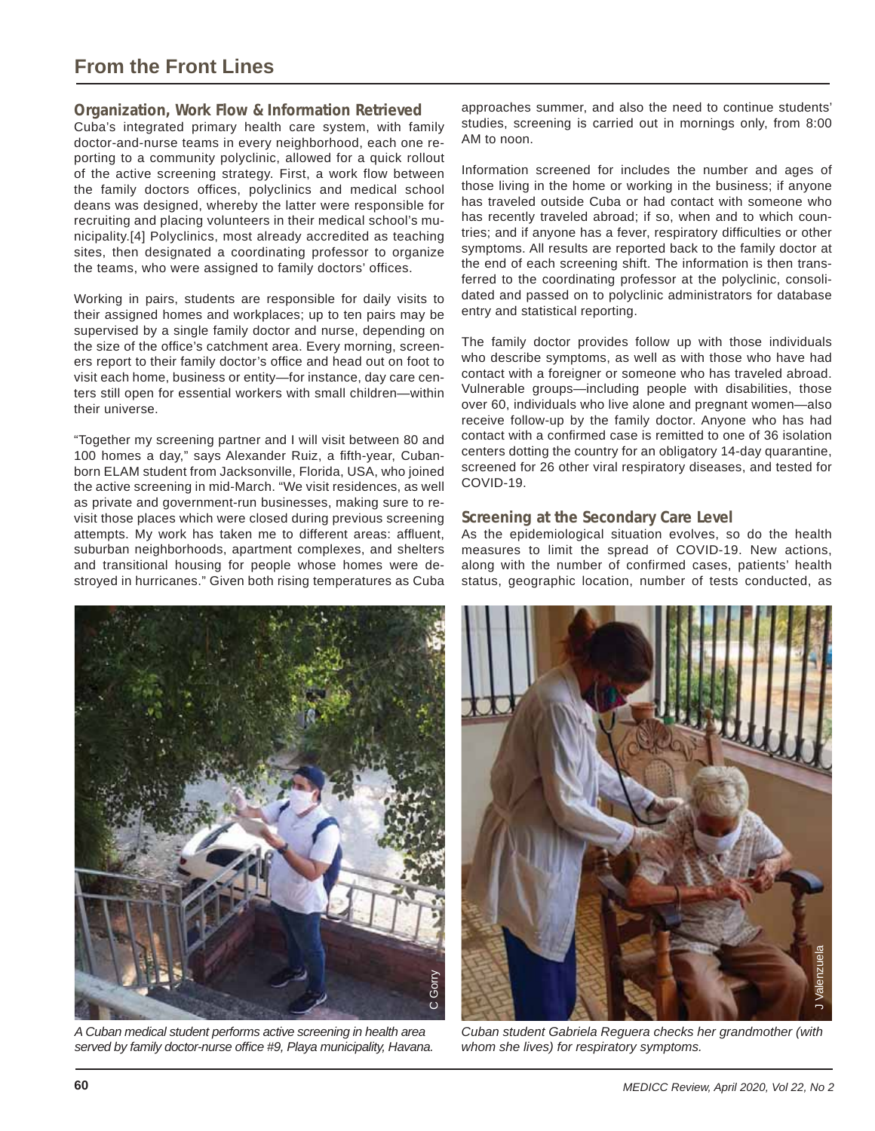# **From the Front Lines**

# **Organization, Work Flow & Information Retrieved**

Cuba's integrated primary health care system, with family doctor-and-nurse teams in every neighborhood, each one reporting to a community polyclinic, allowed for a quick rollout of the active screening strategy. First, a work flow between the family doctors offices, polyclinics and medical school deans was designed, whereby the latter were responsible for recruiting and placing volunteers in their medical school's municipality.[4] Polyclinics, most already accredited as teaching sites, then designated a coordinating professor to organize the teams, who were assigned to family doctors' offices.

Working in pairs, students are responsible for daily visits to their assigned homes and workplaces; up to ten pairs may be supervised by a single family doctor and nurse, depending on the size of the office's catchment area. Every morning, screeners report to their family doctor's office and head out on foot to visit each home, business or entity—for instance, day care centers still open for essential workers with small children—within their universe.

"Together my screening partner and I will visit between 80 and 100 homes a day," says Alexander Ruiz, a fifth-year, Cubanborn ELAM student from Jacksonville, Florida, USA, who joined the active screening in mid-March. "We visit residences, as well as private and government-run businesses, making sure to revisit those places which were closed during previous screening attempts. My work has taken me to different areas: affluent, suburban neighborhoods, apartment complexes, and shelters and transitional housing for people whose homes were destroyed in hurricanes." Given both rising temperatures as Cuba

approaches summer, and also the need to continue students' studies, screening is carried out in mornings only, from 8:00 AM to noon.

Information screened for includes the number and ages of those living in the home or working in the business; if anyone has traveled outside Cuba or had contact with someone who has recently traveled abroad; if so, when and to which countries; and if anyone has a fever, respiratory difficulties or other symptoms. All results are reported back to the family doctor at the end of each screening shift. The information is then transferred to the coordinating professor at the polyclinic, consolidated and passed on to polyclinic administrators for database entry and statistical reporting.

The family doctor provides follow up with those individuals who describe symptoms, as well as with those who have had contact with a foreigner or someone who has traveled abroad. Vulnerable groups—including people with disabilities, those over 60, individuals who live alone and pregnant women—also receive follow-up by the family doctor. Anyone who has had contact with a confirmed case is remitted to one of 36 isolation centers dotting the country for an obligatory 14-day quarantine, screened for 26 other viral respiratory diseases, and tested for COVID-19.

#### **Screening at the Secondary Care Level**

As the epidemiological situation evolves, so do the health measures to limit the spread of COVID-19. New actions, along with the number of confirmed cases, patients' health status, geographic location, number of tests conducted, as



*A Cuban medical student performs active screening in health area served by family doctor-nurse offi ce #9, Playa municipality, Havana.*



*Cuban student Gabriela Reguera checks her grandmother (with whom she lives) for respiratory symptoms.*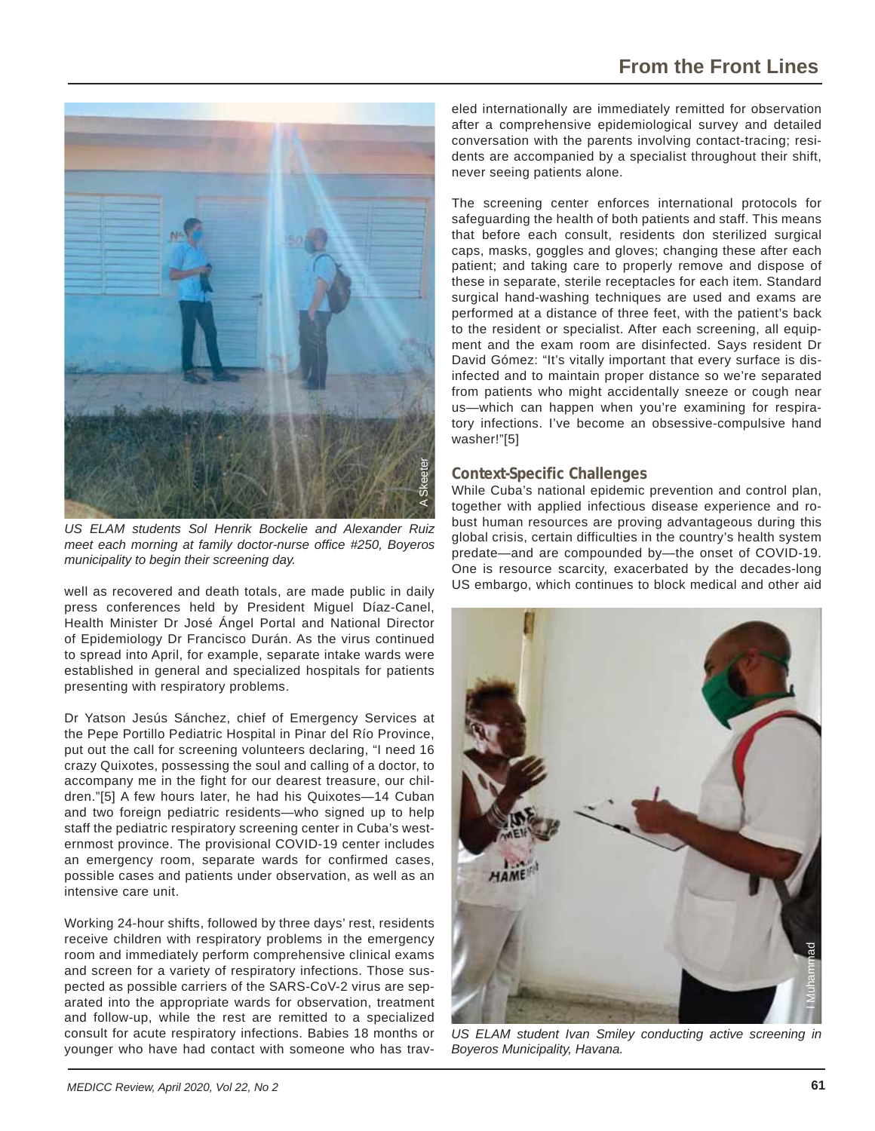

*US ELAM students Sol Henrik Bockelie and Alexander Ruiz meet each morning at family doctor-nurse office #250, Boyeros municipality to begin their screening day.* 

well as recovered and death totals, are made public in daily press conferences held by President Miguel Díaz-Canel, Health Minister Dr José Ángel Portal and National Director of Epidemiology Dr Francisco Durán. As the virus continued to spread into April, for example, separate intake wards were established in general and specialized hospitals for patients presenting with respiratory problems.

Dr Yatson Jesús Sánchez, chief of Emergency Services at the Pepe Portillo Pediatric Hospital in Pinar del Río Province, put out the call for screening volunteers declaring, "I need 16 crazy Quixotes, possessing the soul and calling of a doctor, to accompany me in the fight for our dearest treasure, our children."[5] A few hours later, he had his Quixotes—14 Cuban and two foreign pediatric residents—who signed up to help staff the pediatric respiratory screening center in Cuba's westernmost province. The provisional COVID-19 center includes an emergency room, separate wards for confirmed cases, possible cases and patients under observation, as well as an intensive care unit.

Working 24-hour shifts, followed by three days' rest, residents receive children with respiratory problems in the emergency room and immediately perform comprehensive clinical exams and screen for a variety of respiratory infections. Those suspected as possible carriers of the SARS-CoV-2 virus are separated into the appropriate wards for observation, treatment and follow-up, while the rest are remitted to a specialized consult for acute respiratory infections. Babies 18 months or younger who have had contact with someone who has traveled internationally are immediately remitted for observation after a comprehensive epidemiological survey and detailed conversation with the parents involving contact-tracing; residents are accompanied by a specialist throughout their shift, never seeing patients alone.

The screening center enforces international protocols for safeguarding the health of both patients and staff. This means that before each consult, residents don sterilized surgical caps, masks, goggles and gloves; changing these after each patient; and taking care to properly remove and dispose of these in separate, sterile receptacles for each item. Standard surgical hand-washing techniques are used and exams are performed at a distance of three feet, with the patient's back to the resident or specialist. After each screening, all equipment and the exam room are disinfected. Says resident Dr David Gómez: "It's vitally important that every surface is disinfected and to maintain proper distance so we're separated from patients who might accidentally sneeze or cough near us—which can happen when you're examining for respiratory infections. I've become an obsessive-compulsive hand washer!"[5]

# **Context-Specific Challenges**

While Cuba's national epidemic prevention and control plan, together with applied infectious disease experience and robust human resources are proving advantageous during this global crisis, certain difficulties in the country's health system predate—and are compounded by—the onset of COVID-19. One is resource scarcity, exacerbated by the decades-long US embargo, which continues to block medical and other aid



*US ELAM student Ivan Smiley conducting active screening in Boyeros Municipality, Havana.*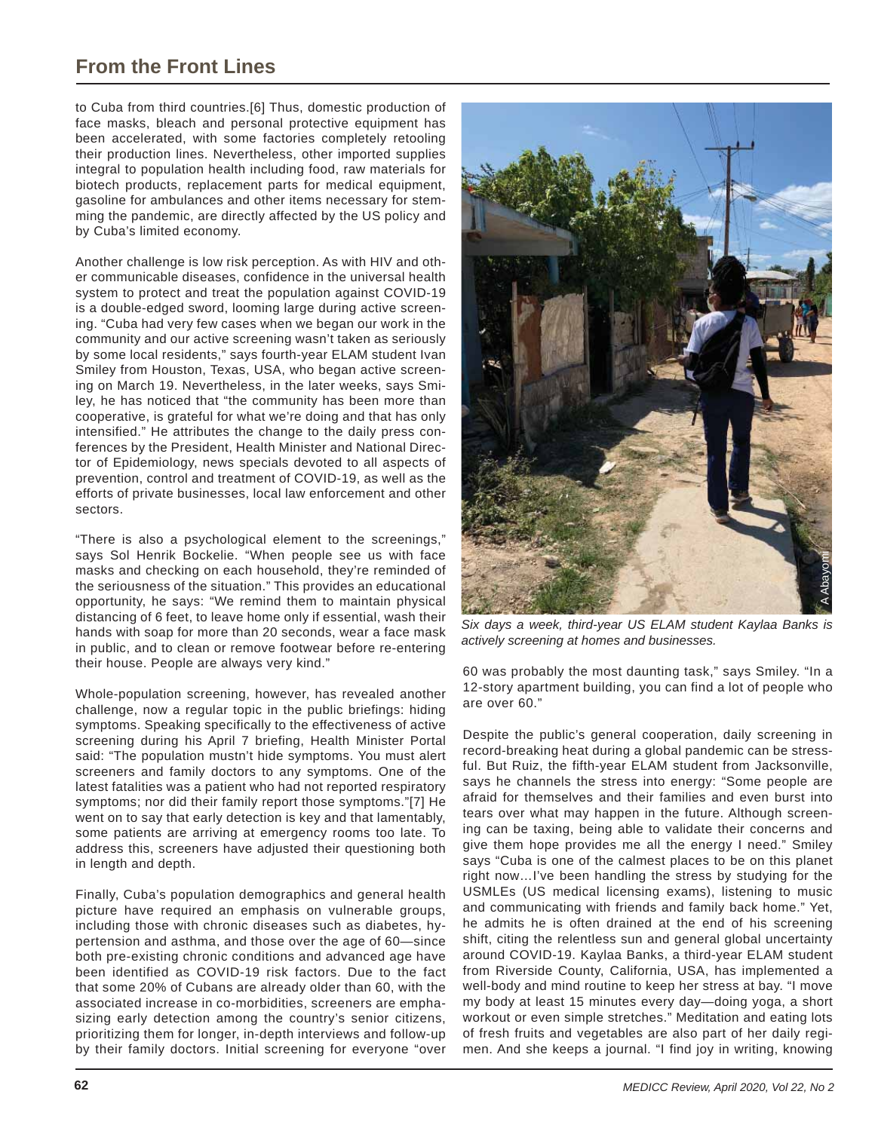# **From the Front Lines**

to Cuba from third countries.[6] Thus, domestic production of face masks, bleach and personal protective equipment has been accelerated, with some factories completely retooling their production lines. Nevertheless, other imported supplies integral to population health including food, raw materials for biotech products, replacement parts for medical equipment, gasoline for ambulances and other items necessary for stemming the pandemic, are directly affected by the US policy and by Cuba's limited economy.

Another challenge is low risk perception. As with HIV and other communicable diseases, confidence in the universal health system to protect and treat the population against COVID-19 is a double-edged sword, looming large during active screening. "Cuba had very few cases when we began our work in the community and our active screening wasn't taken as seriously by some local residents," says fourth-year ELAM student Ivan Smiley from Houston, Texas, USA, who began active screening on March 19. Nevertheless, in the later weeks, says Smiley, he has noticed that "the community has been more than cooperative, is grateful for what we're doing and that has only intensified." He attributes the change to the daily press conferences by the President, Health Minister and National Director of Epidemiology, news specials devoted to all aspects of prevention, control and treatment of COVID-19, as well as the efforts of private businesses, local law enforcement and other sectors.

"There is also a psychological element to the screenings," says Sol Henrik Bockelie. "When people see us with face masks and checking on each household, they're reminded of the seriousness of the situation." This provides an educational opportunity, he says: "We remind them to maintain physical distancing of 6 feet, to leave home only if essential, wash their hands with soap for more than 20 seconds, wear a face mask in public, and to clean or remove footwear before re-entering their house. People are always very kind."

Whole-population screening, however, has revealed another challenge, now a regular topic in the public briefings: hiding symptoms. Speaking specifically to the effectiveness of active screening during his April 7 briefing, Health Minister Portal said: "The population mustn't hide symptoms. You must alert screeners and family doctors to any symptoms. One of the latest fatalities was a patient who had not reported respiratory symptoms; nor did their family report those symptoms."[7] He went on to say that early detection is key and that lamentably, some patients are arriving at emergency rooms too late. To address this, screeners have adjusted their questioning both in length and depth.

Finally, Cuba's population demographics and general health picture have required an emphasis on vulnerable groups, including those with chronic diseases such as diabetes, hypertension and asthma, and those over the age of 60—since both pre-existing chronic conditions and advanced age have been identified as COVID-19 risk factors. Due to the fact that some 20% of Cubans are already older than 60, with the associated increase in co-morbidities, screeners are emphasizing early detection among the country's senior citizens, prioritizing them for longer, in-depth interviews and follow-up by their family doctors. Initial screening for everyone "over



*Six days a week, third-year US ELAM student Kaylaa Banks is actively screening at homes and businesses.*

60 was probably the most daunting task," says Smiley. "In a 12-story apartment building, you can find a lot of people who are over 60."

Despite the public's general cooperation, daily screening in record-breaking heat during a global pandemic can be stressful. But Ruiz, the fifth-year ELAM student from Jacksonville, says he channels the stress into energy: "Some people are afraid for themselves and their families and even burst into tears over what may happen in the future. Although screening can be taxing, being able to validate their concerns and give them hope provides me all the energy I need." Smiley says "Cuba is one of the calmest places to be on this planet right now…I've been handling the stress by studying for the USMLEs (US medical licensing exams), listening to music and communicating with friends and family back home." Yet, he admits he is often drained at the end of his screening shift, citing the relentless sun and general global uncertainty around COVID-19. Kaylaa Banks, a third-year ELAM student from Riverside County, California, USA, has implemented a well-body and mind routine to keep her stress at bay. "I move my body at least 15 minutes every day—doing yoga, a short workout or even simple stretches." Meditation and eating lots of fresh fruits and vegetables are also part of her daily regimen. And she keeps a journal. "I find joy in writing, knowing